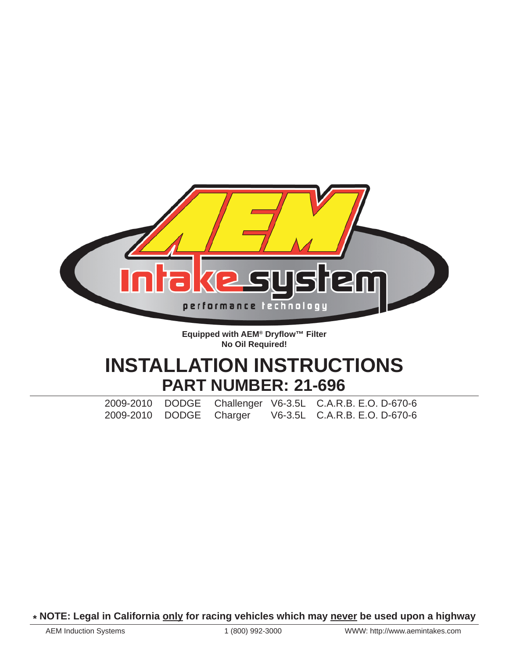

**Equipped with AEM® Dryflow™ Filter No Oil Required!**

# **INSTALLATION INSTRUCTIONS PART NUMBER: 21-696**

 2009-2010 DODGE Challenger V6-3.5L C.A.R.B. E.O. D-670-6 2009-2010 DODGE Charger V6-3.5L C.A.R.B. E.O. D-670-6

**\* NOTE: Legal in California only for racing vehicles which may never be used upon a highway**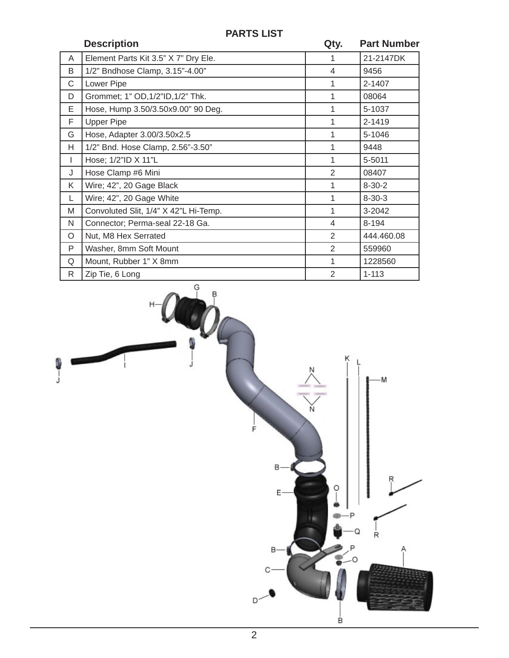## **PARTS LIST**

|              | <b>Description</b>                    | Qty.           | <b>Part Number</b> |
|--------------|---------------------------------------|----------------|--------------------|
| A            | Element Parts Kit 3.5" X 7" Dry Ele.  | 1              | 21-2147DK          |
| B            | 1/2" Bndhose Clamp, 3.15"-4.00"       | 4              | 9456               |
| C            | Lower Pipe                            | 1              | 2-1407             |
| D            | Grommet; 1" OD, 1/2"ID, 1/2" Thk.     | 1              | 08064              |
| E            | Hose, Hump 3.50/3.50x9.00" 90 Deg.    | 1              | 5-1037             |
| F            | <b>Upper Pipe</b>                     | 1              | 2-1419             |
| G            | Hose, Adapter 3.00/3.50x2.5           | 1              | 5-1046             |
| H.           | 1/2" Bnd. Hose Clamp, 2.56"-3.50"     | 1              | 9448               |
| $\mathbf{I}$ | Hose; 1/2"ID X 11"L                   | 1              | 5-5011             |
| J            | Hose Clamp #6 Mini                    | $\overline{2}$ | 08407              |
| K.           | Wire; 42", 20 Gage Black              | 1              | $8 - 30 - 2$       |
| L            | Wire; 42", 20 Gage White              | 1              | $8 - 30 - 3$       |
| M            | Convoluted Slit, 1/4" X 42"L Hi-Temp. | 1              | 3-2042             |
| N            | Connector; Perma-seal 22-18 Ga.       | 4              | 8-194              |
| O            | Nut, M8 Hex Serrated                  | $\mathfrak{D}$ | 444.460.08         |
| P            | Washer, 8mm Soft Mount                | $\mathfrak{D}$ | 559960             |
| Q            | Mount, Rubber 1" X 8mm                | 1              | 1228560            |
| R.           | Zip Tie, 6 Long                       | $\overline{2}$ | $1 - 113$          |

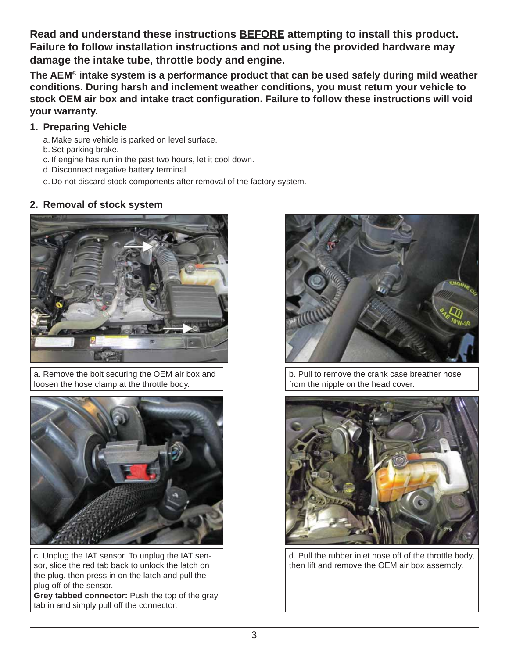**Read and understand these instructions BEFORE attempting to install this product. Failure to follow installation instructions and not using the provided hardware may damage the intake tube, throttle body and engine.**

**The AEM® intake system is a performance product that can be used safely during mild weather conditions. During harsh and inclement weather conditions, you must return your vehicle to stock OEM air box and intake tract configuration. Failure to follow these instructions will void your warranty.**

#### **1. Preparing Vehicle**

- a. Make sure vehicle is parked on level surface.
- b. Set parking brake.
- c. If engine has run in the past two hours, let it cool down.
- d. Disconnect negative battery terminal.
- e. Do not discard stock components after removal of the factory system.

## **2. Removal of stock system**



a. Remove the bolt securing the OEM air box and loosen the hose clamp at the throttle body.



c. Unplug the IAT sensor. To unplug the IAT sensor, slide the red tab back to unlock the latch on the plug, then press in on the latch and pull the plug off of the sensor.

**Grey tabbed connector:** Push the top of the gray tab in and simply pull off the connector.



b. Pull to remove the crank case breather hose from the nipple on the head cover.



d. Pull the rubber inlet hose off of the throttle body, then lift and remove the OEM air box assembly.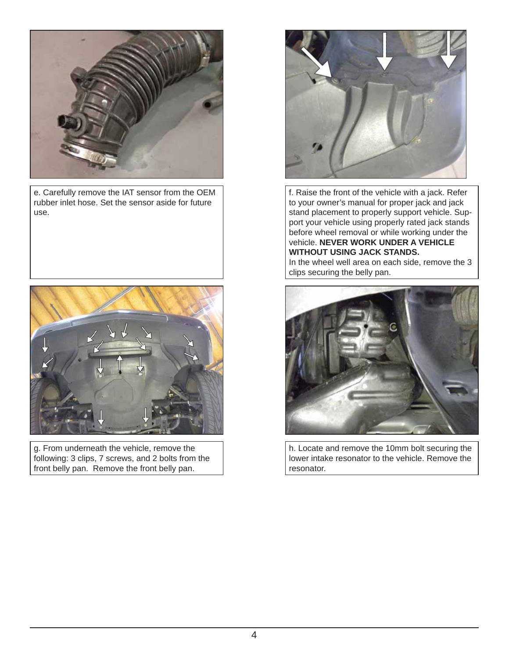

e. Carefully remove the IAT sensor from the OEM rubber inlet hose. Set the sensor aside for future use.



g. From underneath the vehicle, remove the following: 3 clips, 7 screws, and 2 bolts from the front belly pan. Remove the front belly pan.



f. Raise the front of the vehicle with a jack. Refer to your owner's manual for proper jack and jack stand placement to properly support vehicle. Support your vehicle using properly rated jack stands before wheel removal or while working under the vehicle. **NEVER WORK UNDER A VEHICLE WITHOUT USING JACK STANDS.**

In the wheel well area on each side, remove the 3 clips securing the belly pan.



h. Locate and remove the 10mm bolt securing the lower intake resonator to the vehicle. Remove the resonator.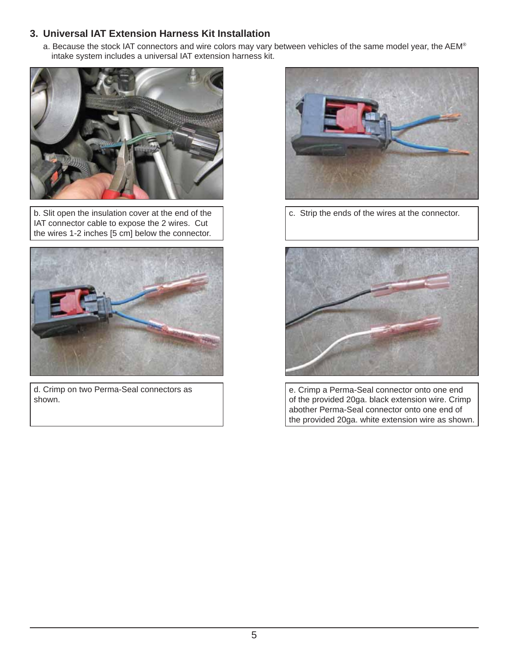## **3. Universal IAT Extension Harness Kit Installation**

a. Because the stock IAT connectors and wire colors may vary between vehicles of the same model year, the AEM® intake system includes a universal IAT extension harness kit.



b. Slit open the insulation cover at the end of the IAT connector cable to expose the 2 wires. Cut the wires 1-2 inches [5 cm] below the connector.



d. Crimp on two Perma-Seal connectors as shown.



c. Strip the ends of the wires at the connector.



e. Crimp a Perma-Seal connector onto one end of the provided 20ga. black extension wire. Crimp abother Perma-Seal connector onto one end of the provided 20ga. white extension wire as shown.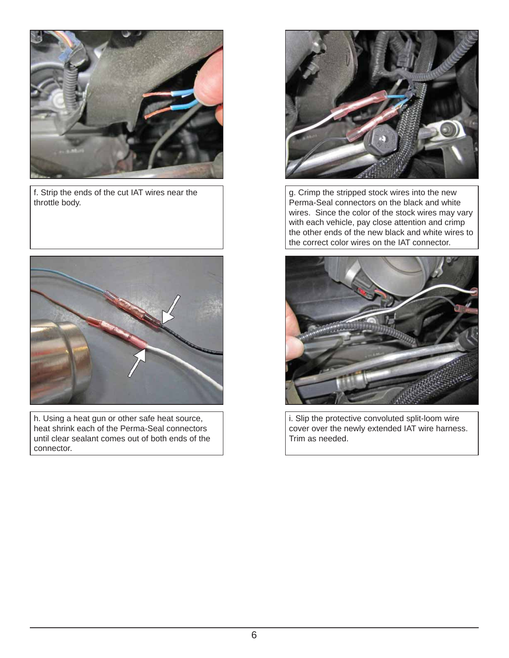

f. Strip the ends of the cut IAT wires near the throttle body.



h. Using a heat gun or other safe heat source, heat shrink each of the Perma-Seal connectors until clear sealant comes out of both ends of the connector.



g. Crimp the stripped stock wires into the new Perma-Seal connectors on the black and white wires. Since the color of the stock wires may vary with each vehicle, pay close attention and crimp the other ends of the new black and white wires to the correct color wires on the IAT connector.



i. Slip the protective convoluted split-loom wire cover over the newly extended IAT wire harness. Trim as needed.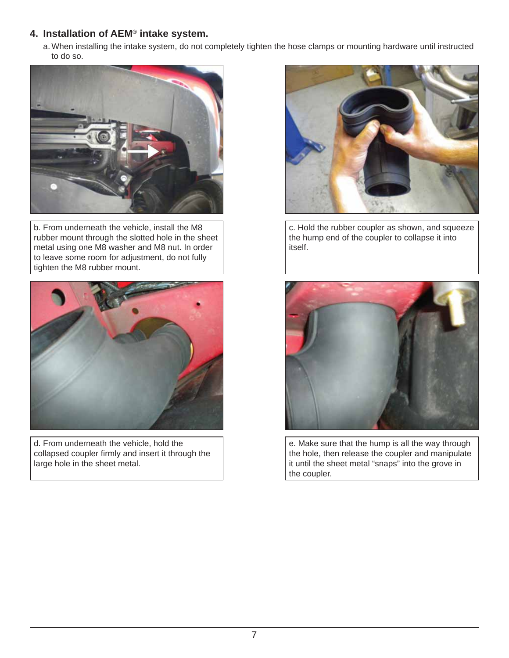## **4. Installation of AEM® intake system.**

a. When installing the intake system, do not completely tighten the hose clamps or mounting hardware until instructed to do so.



b. From underneath the vehicle, install the M8 rubber mount through the slotted hole in the sheet metal using one M8 washer and M8 nut. In order to leave some room for adjustment, do not fully tighten the M8 rubber mount.



d. From underneath the vehicle, hold the collapsed coupler firmly and insert it through the large hole in the sheet metal.



c. Hold the rubber coupler as shown, and squeeze the hump end of the coupler to collapse it into itself.



e. Make sure that the hump is all the way through the hole, then release the coupler and manipulate it until the sheet metal "snaps" into the grove in the coupler.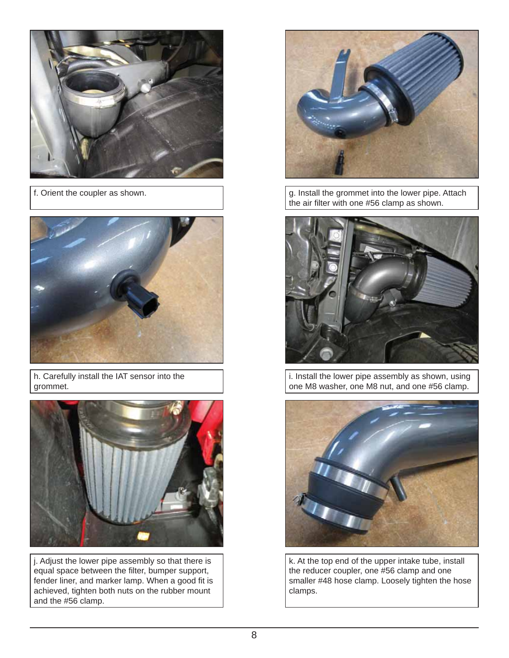



h. Carefully install the IAT sensor into the grommet.



j. Adjust the lower pipe assembly so that there is equal space between the filter, bumper support, fender liner, and marker lamp. When a good fit is achieved, tighten both nuts on the rubber mount and the #56 clamp.



f. Orient the coupler as shown. g. Install the grommet into the lower pipe. Attach the air filter with one #56 clamp as shown.



i. Install the lower pipe assembly as shown, using one M8 washer, one M8 nut, and one #56 clamp.



k. At the top end of the upper intake tube, install the reducer coupler, one #56 clamp and one smaller #48 hose clamp. Loosely tighten the hose clamps.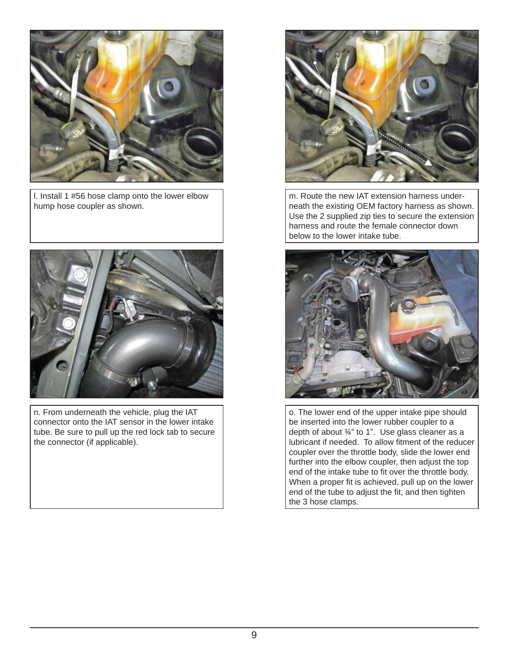

l. Install 1 #56 hose clamp onto the lower elbow hump hose coupler as shown.



n. From underneath the vehicle, plug the IAT connector onto the IAT sensor in the lower intake tube. Be sure to pull up the red lock tab to secure the connector (if applicable).



m. Route the new IAT extension harness underneath the existing OEM factory harness as shown. Use the 2 supplied zip ties to secure the extension harness and route the female connector down below to the lower intake tube.



o. The lower end of the upper intake pipe should be inserted into the lower rubber coupler to a depth of about ¾" to 1". Use glass cleaner as a lubricant if needed. To allow fitment of the reducer coupler over the throttle body, slide the lower end further into the elbow coupler, then adjust the top end of the intake tube to fit over the throttle body. When a proper fit is achieved, pull up on the lower end of the tube to adjust the fit, and then tighten the 3 hose clamps.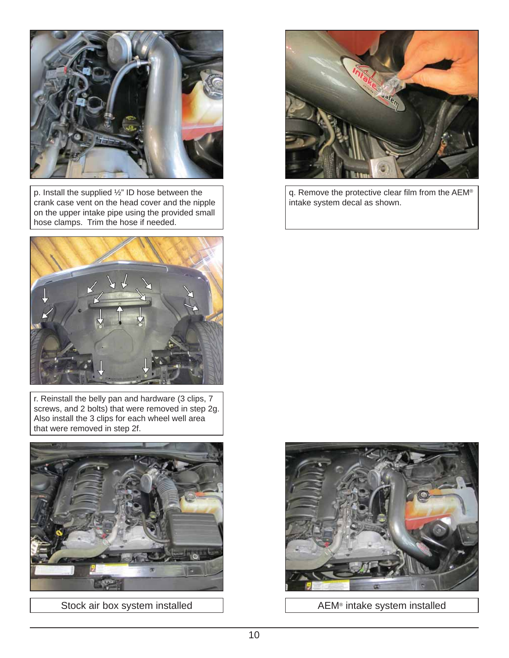

p. Install the supplied ½" ID hose between the crank case vent on the head cover and the nipple on the upper intake pipe using the provided small hose clamps. Trim the hose if needed.



r. Reinstall the belly pan and hardware (3 clips, 7 screws, and 2 bolts) that were removed in step 2g. Also install the 3 clips for each wheel well area that were removed in step 2f.



Stock air box system installed AEM® intake system installed



q. Remove the protective clear film from the AEM® intake system decal as shown.